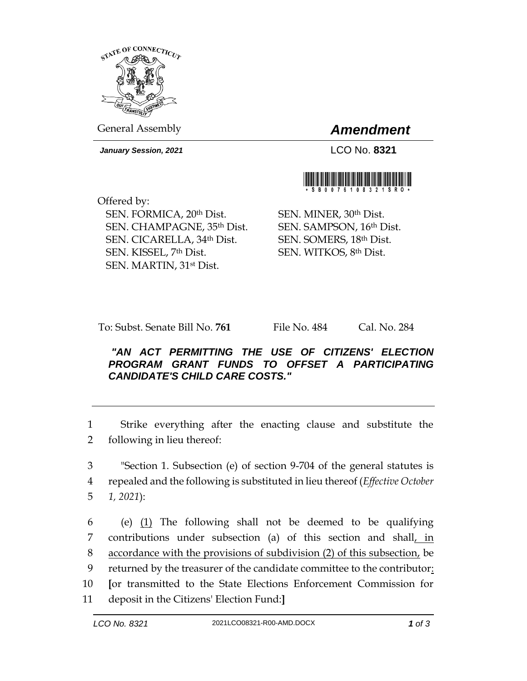

General Assembly *Amendment*

*January Session, 2021* LCO No. **8321**



Offered by: SEN. FORMICA, 20th Dist. SEN. CHAMPAGNE, 35th Dist. SEN. CICARELLA, 34th Dist. SEN. KISSEL, 7th Dist. SEN. MARTIN, 31st Dist.

SEN. MINER, 30th Dist. SEN. SAMPSON, 16th Dist. SEN. SOMERS, 18th Dist. SEN. WITKOS, 8th Dist.

To: Subst. Senate Bill No. **761** File No. 484 Cal. No. 284

*"AN ACT PERMITTING THE USE OF CITIZENS' ELECTION PROGRAM GRANT FUNDS TO OFFSET A PARTICIPATING CANDIDATE'S CHILD CARE COSTS."* 

1 Strike everything after the enacting clause and substitute the 2 following in lieu thereof:

3 "Section 1. Subsection (e) of section 9-704 of the general statutes is 4 repealed and the following is substituted in lieu thereof (*Effective October*  5 *1, 2021*):

6 (e)  $(1)$  The following shall not be deemed to be qualifying contributions under subsection (a) of this section and shall, in accordance with the provisions of subdivision (2) of this subsection, be returned by the treasurer of the candidate committee to the contributor: **[**or transmitted to the State Elections Enforcement Commission for deposit in the Citizens' Election Fund:**]**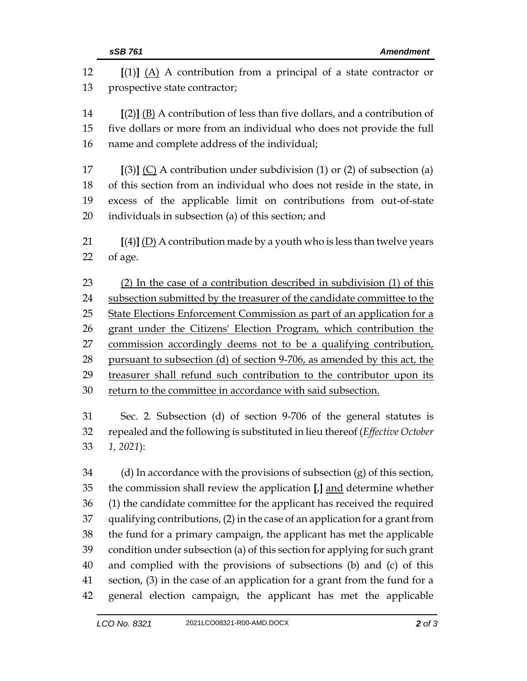| 12 | $[(1)]$ $(A)$ A contribution from a principal of a state contractor or       |  |  |
|----|------------------------------------------------------------------------------|--|--|
| 13 | prospective state contractor;                                                |  |  |
| 14 | $[(2)]$ (B) A contribution of less than five dollars, and a contribution of  |  |  |
| 15 | five dollars or more from an individual who does not provide the full        |  |  |
| 16 | name and complete address of the individual;                                 |  |  |
| 17 | $[(3)]$ (C) A contribution under subdivision (1) or (2) of subsection (a)    |  |  |
| 18 | of this section from an individual who does not reside in the state, in      |  |  |
| 19 | excess of the applicable limit on contributions from out-of-state            |  |  |
| 20 | individuals in subsection (a) of this section; and                           |  |  |
| 21 | $[(4)]$ (D) A contribution made by a youth who is less than twelve years     |  |  |
| 22 | of age.                                                                      |  |  |
| 23 | (2) In the case of a contribution described in subdivision (1) of this       |  |  |
| 24 | subsection submitted by the treasurer of the candidate committee to the      |  |  |
| 25 | State Elections Enforcement Commission as part of an application for a       |  |  |
| 26 | grant under the Citizens' Election Program, which contribution the           |  |  |
| 27 | commission accordingly deems not to be a qualifying contribution,            |  |  |
| 28 | pursuant to subsection (d) of section 9-706, as amended by this act, the     |  |  |
| 29 | treasurer shall refund such contribution to the contributor upon its         |  |  |
| 30 | return to the committee in accordance with said subsection.                  |  |  |
| 31 | Sec. 2. Subsection (d) of section 9-706 of the general statutes is           |  |  |
| 32 | repealed and the following is substituted in lieu thereof (Effective October |  |  |
| 33 | $1, 2021$ :                                                                  |  |  |
| 34 | (d) In accordance with the provisions of subsection $(g)$ of this section,   |  |  |
| 35 | the commission shall review the application [J] and determine whether        |  |  |
| 36 | (1) the candidate committee for the applicant has received the required      |  |  |
| 37 | qualifying contributions, (2) in the case of an application for a grant from |  |  |
| 38 | the fund for a primary campaign, the applicant has met the applicable        |  |  |
| 39 | condition under subsection (a) of this section for applying for such grant   |  |  |
| 40 | and complied with the provisions of subsections (b) and (c) of this          |  |  |
| 41 | section, (3) in the case of an application for a grant from the fund for a   |  |  |
| 42 | general election campaign, the applicant has met the applicable              |  |  |